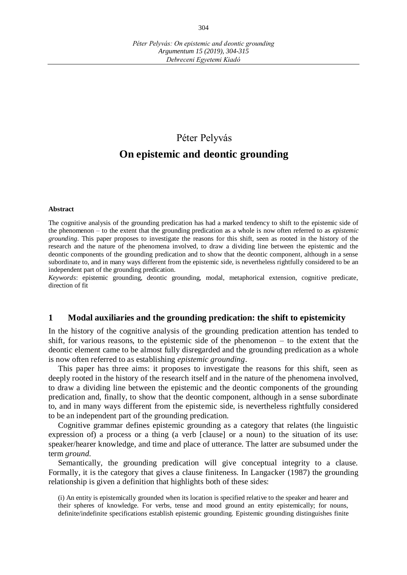# Péter Pelyvás

# **On epistemic and deontic grounding**

#### **Abstract**

The cognitive analysis of the grounding predication has had a marked tendency to shift to the epistemic side of the phenomenon – to the extent that the grounding predication as a whole is now often referred to as *epistemic grounding*. This paper proposes to investigate the reasons for this shift, seen as rooted in the history of the research and the nature of the phenomena involved, to draw a dividing line between the epistemic and the deontic components of the grounding predication and to show that the deontic component, although in a sense subordinate to, and in many ways different from the epistemic side, is nevertheless rightfully considered to be an independent part of the grounding predication.

*Keywords*: epistemic grounding, deontic grounding, modal, metaphorical extension, cognitive predicate, direction of fit

#### **1 Modal auxiliaries and the grounding predication: the shift to epistemicity**

In the history of the cognitive analysis of the grounding predication attention has tended to shift, for various reasons, to the epistemic side of the phenomenon – to the extent that the deontic element came to be almost fully disregarded and the grounding predication as a whole is now often referred to as establishing *epistemic grounding*.

This paper has three aims: it proposes to investigate the reasons for this shift, seen as deeply rooted in the history of the research itself and in the nature of the phenomena involved, to draw a dividing line between the epistemic and the deontic components of the grounding predication and, finally, to show that the deontic component, although in a sense subordinate to, and in many ways different from the epistemic side, is nevertheless rightfully considered to be an independent part of the grounding predication.

Cognitive grammar defines epistemic grounding as a category that relates (the linguistic expression of) a process or a thing (a verb [clause] or a noun) to the situation of its use: speaker/hearer knowledge, and time and place of utterance. The latter are subsumed under the term *ground.* 

Semantically, the grounding predication will give conceptual integrity to a clause. Formally, it is the category that gives a clause finiteness. In Langacker (1987) the grounding relationship is given a definition that highlights both of these sides:

<sup>(</sup>i) An entity is epistemically grounded when its location is specified relative to the speaker and hearer and their spheres of knowledge. For verbs, tense and mood ground an entity epistemically; for nouns, definite/indefinite specifications establish epistemic grounding. Epistemic grounding distinguishes finite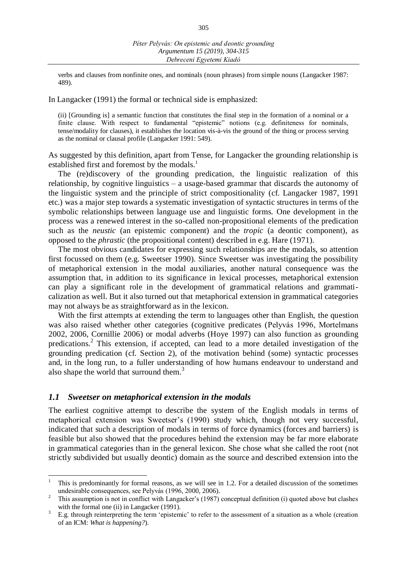verbs and clauses from nonfinite ones, and nominals (noun phrases) from simple nouns (Langacker 1987: 489).

In Langacker (1991) the formal or technical side is emphasized:

(ii) [Grounding is] a semantic function that constitutes the final step in the formation of a nominal or a finite clause. With respect to fundamental "epistemic" notions (e.g. definiteness for nominals, tense/modality for clauses), it establishes the location vis-à-vis the ground of the thing or process serving as the nominal or clausal profile (Langacker 1991: 549).

As suggested by this definition, apart from Tense, for Langacker the grounding relationship is established first and foremost by the modals.<sup>1</sup>

The (re)discovery of the grounding predication, the linguistic realization of this relationship, by cognitive linguistics – a usage-based grammar that discards the autonomy of the linguistic system and the principle of strict compositionality (cf. Langacker 1987, 1991 etc.) was a major step towards a systematic investigation of syntactic structures in terms of the symbolic relationships between language use and linguistic forms. One development in the process was a renewed interest in the so-called non-propositional elements of the predication such as the *neustic* (an epistemic component) and the *tropic* (a deontic component), as opposed to the *phrastic* (the propositional content) described in e.g. Hare (1971).

The most obvious candidates for expressing such relationships are the modals, so attention first focussed on them (e.g. Sweetser 1990). Since Sweetser was investigating the possibility of metaphorical extension in the modal auxiliaries, another natural consequence was the assumption that, in addition to its significance in lexical processes, metaphorical extension can play a significant role in the development of grammatical relations and grammaticalization as well. But it also turned out that metaphorical extension in grammatical categories may not always be as straightforward as in the lexicon.

With the first attempts at extending the term to languages other than English, the question was also raised whether other categories (cognitive predicates (Pelyvás 1996, Mortelmans 2002, 2006, Cornillie 2006) or modal adverbs (Hoye 1997) can also function as grounding predications.<sup>2</sup> This extension, if accepted, can lead to a more detailed investigation of the grounding predication (cf. Section 2), of the motivation behind (some) syntactic processes and, in the long run, to a fuller understanding of how humans endeavour to understand and also shape the world that surround them.<sup>3</sup>

#### *1.1 Sweetser on metaphorical extension in the modals*

 $\overline{a}$ 

The earliest cognitive attempt to describe the system of the English modals in terms of metaphorical extension was Sweetser's (1990) study which, though not very successful, indicated that such a description of modals in terms of force dynamics (forces and barriers) is feasible but also showed that the procedures behind the extension may be far more elaborate in grammatical categories than in the general lexicon. She chose what she called the root (not strictly subdivided but usually deontic) domain as the source and described extension into the

<sup>1</sup> This is predominantly for formal reasons, as we will see in 1.2. For a detailed discussion of the sometimes undesirable consequences, see Pelyvás (1996, 2000, 2006).

<sup>2</sup> This assumption is not in conflict with Langacker's (1987) conceptual definition (i) quoted above but clashes with the formal one (ii) in Langacker (1991).

<sup>3</sup> E.g. through reinterpreting the term 'epistemic' to refer to the assessment of a situation as a whole (creation of an ICM: *What is happening?*).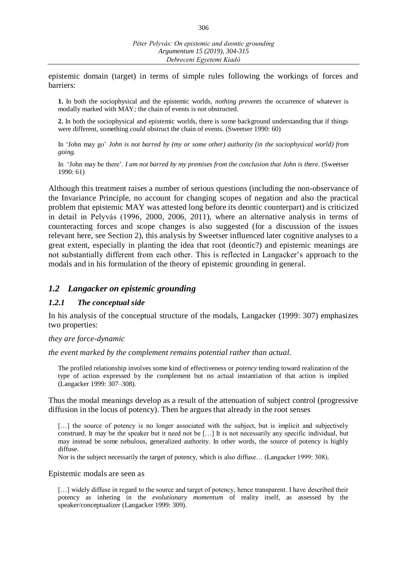epistemic domain (target) in terms of simple rules following the workings of forces and barriers:

**1.** In both the sociophysical and the epistemic worlds, *nothing prevents* the occurrence of whatever is modally marked with MAY*;* the chain of events is not obstructed.

**2.** In both the sociophysical and epistemic worlds, there is some background understanding that if things were different, something *could* obstruct the chain of events. (Sweetser 1990: 60)

In 'John may go' *John is not barred by (my or some other) authority (in the sociophysical world) from going.*

In 'John may be there'. *I am not barred by my premises from the conclusion that John is there.* (Sweetser 1990: 61)

Although this treatment raises a number of serious questions (including the non-observance of the Invariance Principle, no account for changing scopes of negation and also the practical problem that epistemic MAY was attested long before its deontic counterpart) and is criticized in detail in Pelyvás (1996, 2000, 2006, 2011), where an alternative analysis in terms of counteracting forces and scope changes is also suggested (for a discussion of the issues relevant here, see Section 2), this analysis by Sweetser influenced later cognitive analyses to a great extent, especially in planting the idea that root (deontic?) and epistemic meanings are not substantially different from each other. This is reflected in Langacker's approach to the modals and in his formulation of the theory of epistemic grounding in general.

### *1.2 Langacker on epistemic grounding*

#### *1.2.1 The conceptual side*

In his analysis of the conceptual structure of the modals, Langacker (1999: 307) emphasizes two properties:

#### *they are force-dynamic*

*the event marked by the complement remains potential rather than actual.*

The profiled relationship involves some kind of effectiveness or *potency* tending toward realization of the type of action expressed by the complement but no actual instantiation of that action is implied (Langacker 1999: 307–308).

Thus the modal meanings develop as a result of the attenuation of subject control (progressive diffusion in the locus of potency). Then he argues that already in the root senses

[...] the source of potency is no longer associated with the subject, but is implicit and subjectively construed. It may be the speaker but it need not be […] It is not necessarily any specific individual, but may instead be some nebulous, generalized authority. In other words, the source of potency is highly diffuse.

Nor is the subject necessarily the target of potency, which is also diffuse… (Langacker 1999: 308).

#### Epistemic modals are seen as

[...] widely diffuse in regard to the source and target of potency, hence transparent. I have described their potency as inhering in the *evolutionary momentum* of reality itself, as assessed by the speaker/conceptualizer (Langacker 1999: 309).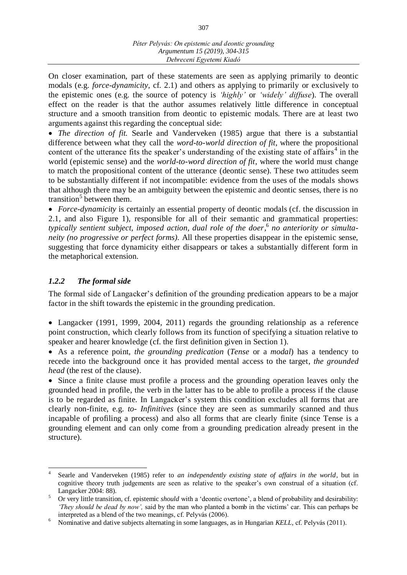On closer examination, part of these statements are seen as applying primarily to deontic modals (e.g. *force-dynamicity,* cf. 2.1) and others as applying to primarily or exclusively to the epistemic ones (e.g. the source of potency is *'highly'* or *'widely' diffuse*). The overall effect on the reader is that the author assumes relatively little difference in conceptual structure and a smooth transition from deontic to epistemic modals. There are at least two arguments against this regarding the conceptual side:

 *The direction of fit.* Searle and Vanderveken (1985) argue that there is a substantial difference between what they call the *word-to-world direction of fit*, where the propositional content of the utterance fits the speaker's understanding of the existing state of affairs<sup>4</sup> in the world (epistemic sense) and the *world-to-word direction of fit*, where the world must change to match the propositional content of the utterance (deontic sense). These two attitudes seem to be substantially different if not incompatible: evidence from the uses of the modals shows that although there may be an ambiguity between the epistemic and deontic senses, there is no transition<sup>5</sup> between them.

 *Force-dynamicity* is certainly an essential property of deontic modals (cf. the discussion in 2.1, and also Figure 1), responsible for all of their semantic and grammatical properties: *typically sentient subject, imposed action, dual role of the doer,* 6 *no anteriority or simultaneity (no progressive or perfect forms).* All these properties disappear in the epistemic sense, suggesting that force dynamicity either disappears or takes a substantially different form in the metaphorical extension.

# *1.2.2 The formal side*

 $\overline{a}$ 

The formal side of Langacker's definition of the grounding predication appears to be a major factor in the shift towards the epistemic in the grounding predication.

 Langacker (1991, 1999, 2004, 2011) regards the grounding relationship as a reference point construction, which clearly follows from its function of specifying a situation relative to speaker and hearer knowledge (cf. the first definition given in Section 1).

 As a reference point, *the grounding predication* (*Tense* or a *modal*) has a tendency to recede into the background once it has provided mental access to the target, *the grounded head* (the rest of the clause).

 Since a finite clause must profile a process and the grounding operation leaves only the grounded head in profile, the verb in the latter has to be able to profile a process if the clause is to be regarded as finite. In Langacker's system this condition excludes all forms that are clearly non-finite, e.g. *to- Infinitives* (since they are seen as summarily scanned and thus incapable of profiling a process) and also all forms that are clearly finite (since Tense is a grounding element and can only come from a grounding predication already present in the structure).

<sup>4</sup> Searle and Vanderveken (1985) refer to *an independently existing state of affairs in the world*, but in cognitive theory truth judgements are seen as relative to the speaker's own construal of a situation (cf. Langacker 2004: 88).

<sup>&</sup>lt;sup>5</sup> Or very little transition, cf. epistemic *should* with a 'deontic overtone', a blend of probability and desirability: *'They should be dead by now',* said by the man who planted a bomb in the victims' car. This can perhaps be interpreted as a blend of the two meanings, cf. Pelyvás (2006).

<sup>6</sup> Nominative and dative subjects alternating in some languages, as in Hungarian *KELL,* cf. Pelyvás (2011).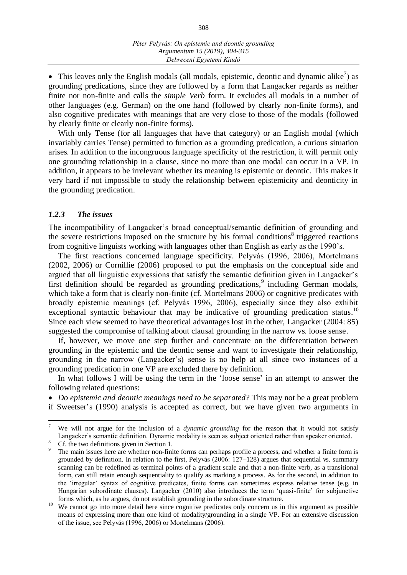308

• This leaves only the English modals (all modals, epistemic, deontic and dynamic alike<sup>7</sup>) as grounding predications, since they are followed by a form that Langacker regards as neither finite nor non-finite and calls the *simple Verb* form. It excludes all modals in a number of other languages (e.g. German) on the one hand (followed by clearly non-finite forms), and also cognitive predicates with meanings that are very close to those of the modals (followed by clearly finite or clearly non-finite forms).

With only Tense (for all languages that have that category) or an English modal (which invariably carries Tense) permitted to function as a grounding predication, a curious situation arises. In addition to the incongruous language specificity of the restriction, it will permit only one grounding relationship in a clause, since no more than one modal can occur in a VP. In addition, it appears to be irrelevant whether its meaning is epistemic or deontic. This makes it very hard if not impossible to study the relationship between epistemicity and deonticity in the grounding predication.

### *1.2.3 The issues*

The incompatibility of Langacker's broad conceptual/semantic definition of grounding and the severe restrictions imposed on the structure by his formal conditions $\delta$  triggered reactions from cognitive linguists working with languages other than English as early as the 1990's.

The first reactions concerned language specificity. Pelyvás (1996, 2006), Mortelmans (2002, 2006) or Cornillie (2006) proposed to put the emphasis on the conceptual side and argued that all linguistic expressions that satisfy the semantic definition given in Langacker's first definition should be regarded as grounding predications,<sup>9</sup> including German modals, which take a form that is clearly non-finite (cf. Mortelmans 2006) or cognitive predicates with broadly epistemic meanings (cf. Pelyvás 1996, 2006), especially since they also exhibit exceptional syntactic behaviour that may be indicative of grounding predication status.<sup>10</sup> Since each view seemed to have theoretical advantages lost in the other, Langacker (2004: 85) suggested the compromise of talking about clausal grounding in the narrow vs. loose sense.

If, however, we move one step further and concentrate on the differentiation between grounding in the epistemic and the deontic sense and want to investigate their relationship, grounding in the narrow (Langacker's) sense is no help at all since two instances of a grounding predication in one VP are excluded there by definition.

In what follows I will be using the term in the 'loose sense' in an attempt to answer the following related questions:

 *Do epistemic and deontic meanings need to be separated?* This may not be a great problem if Sweetser's (1990) analysis is accepted as correct, but we have given two arguments in

 $\overline{a}$ 

<sup>7</sup> We will not argue for the inclusion of a *dynamic grounding* for the reason that it would not satisfy Langacker's semantic definition. Dynamic modality is seen as subject oriented rather than speaker oriented.

Cf. the two definitions given in Section 1.

<sup>9</sup> The main issues here are whether non-finite forms can perhaps profile a process, and whether a finite form is grounded by definition. In relation to the first, Pelyvás (2006: 127–128) argues that sequential vs. summary scanning can be redefined as terminal points of a gradient scale and that a non-finite verb, as a transitional form, can still retain enough sequentiality to qualify as marking a process. As for the second, in addition to the 'irregular' syntax of cognitive predicates, finite forms can sometimes express relative tense (e.g. in Hungarian subordinate clauses). Langacker (2010) also introduces the term 'quasi-finite' for subjunctive forms which, as he argues, do not establish grounding in the subordinate structure.

We cannot go into more detail here since cognitive predicates only concern us in this argument as possible means of expressing more than one kind of modality/grounding in a single VP. For an extensive discussion of the issue, see Pelyvás (1996, 2006) or Mortelmans (2006).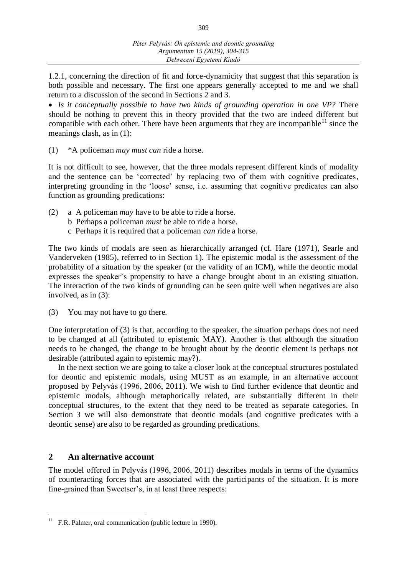309

1.2.1, concerning the direction of fit and force-dynamicity that suggest that this separation is both possible and necessary. The first one appears generally accepted to me and we shall return to a discussion of the second in Sections 2 and 3.

 *Is it conceptually possible to have two kinds of grounding operation in one VP?* There should be nothing to prevent this in theory provided that the two are indeed different but compatible with each other. There have been arguments that they are incompatible<sup>11</sup> since the meanings clash, as in (1):

(1) \*A policeman *may must can* ride a horse.

It is not difficult to see, however, that the three modals represent different kinds of modality and the sentence can be 'corrected' by replacing two of them with cognitive predicates, interpreting grounding in the 'loose' sense, i.e. assuming that cognitive predicates can also function as grounding predications:

- (2) a A policeman *may* have to be able to ride a horse.
	- b Perhaps a policeman *must* be able to ride a horse.
	- c Perhaps it is required that a policeman *can* ride a horse.

The two kinds of modals are seen as hierarchically arranged (cf. Hare (1971), Searle and Vanderveken (1985), referred to in Section 1). The epistemic modal is the assessment of the probability of a situation by the speaker (or the validity of an ICM), while the deontic modal expresses the speaker's propensity to have a change brought about in an existing situation. The interaction of the two kinds of grounding can be seen quite well when negatives are also involved, as in (3):

(3) You may not have to go there.

One interpretation of (3) is that, according to the speaker, the situation perhaps does not need to be changed at all (attributed to epistemic MAY). Another is that although the situation needs to be changed, the change to be brought about by the deontic element is perhaps not desirable (attributed again to epistemic may?).

In the next section we are going to take a closer look at the conceptual structures postulated for deontic and epistemic modals, using MUST as an example, in an alternative account proposed by Pelyvás (1996, 2006, 2011). We wish to find further evidence that deontic and epistemic modals, although metaphorically related, are substantially different in their conceptual structures, to the extent that they need to be treated as separate categories. In Section 3 we will also demonstrate that deontic modals (and cognitive predicates with a deontic sense) are also to be regarded as grounding predications.

# **2 An alternative account**

The model offered in Pelyvás (1996, 2006, 2011) describes modals in terms of the dynamics of counteracting forces that are associated with the participants of the situation. It is more fine-grained than Sweetser's, in at least three respects:

  $11$  F.R. Palmer, oral communication (public lecture in 1990).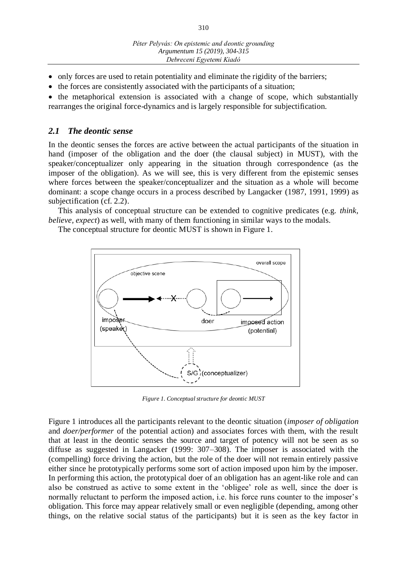- only forces are used to retain potentiality and eliminate the rigidity of the barriers;
- $\bullet$  the forces are consistently associated with the participants of a situation;

• the metaphorical extension is associated with a change of scope, which substantially rearranges the original force-dynamics and is largely responsible for subjectification.

### *2.1 The deontic sense*

In the deontic senses the forces are active between the actual participants of the situation in hand (imposer of the obligation and the doer (the clausal subject) in MUST), with the speaker/conceptualizer only appearing in the situation through correspondence (as the imposer of the obligation). As we will see, this is very different from the epistemic senses where forces between the speaker/conceptualizer and the situation as a whole will become dominant: a scope change occurs in a process described by Langacker (1987, 1991, 1999) as subjectification (cf. 2.2).

This analysis of conceptual structure can be extended to cognitive predicates (e.g. *think, believe, expect*) as well, with many of them functioning in similar ways to the modals.

The conceptual structure for deontic MUST is shown in Figure 1.



*Figure 1. Conceptual structure for deontic MUST*

Figure 1 introduces all the participants relevant to the deontic situation (*imposer of obligation* and *doer/performer* of the potential action) and associates forces with them, with the result that at least in the deontic senses the source and target of potency will not be seen as so diffuse as suggested in Langacker (1999: 307–308). The imposer is associated with the (compelling) force driving the action, but the role of the doer will not remain entirely passive either since he prototypically performs some sort of action imposed upon him by the imposer. In performing this action, the prototypical doer of an obligation has an agent-like role and can also be construed as active to some extent in the 'obligee' role as well, since the doer is normally reluctant to perform the imposed action, i.e. his force runs counter to the imposer's obligation. This force may appear relatively small or even negligible (depending, among other things, on the relative social status of the participants) but it is seen as the key factor in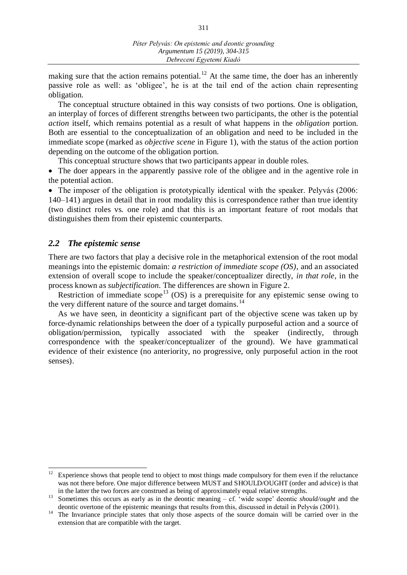making sure that the action remains potential.<sup>12</sup> At the same time, the doer has an inherently passive role as well: as 'obligee', he is at the tail end of the action chain representing obligation.

The conceptual structure obtained in this way consists of two portions. One is obligation, an interplay of forces of different strengths between two participants, the other is the potential *action* itself, which remains potential as a result of what happens in the *obligation* portion. Both are essential to the conceptualization of an obligation and need to be included in the immediate scope (marked as *objective scene* in Figure 1), with the status of the action portion depending on the outcome of the obligation portion.

This conceptual structure shows that two participants appear in double roles.

 The doer appears in the apparently passive role of the obligee and in the agentive role in the potential action.

• The imposer of the obligation is prototypically identical with the speaker. Pelyvás (2006: 140–141) argues in detail that in root modality this is correspondence rather than true identity (two distinct roles vs. one role) and that this is an important feature of root modals that distinguishes them from their epistemic counterparts.

### *2.2 The epistemic sense*

 $\overline{a}$ 

There are two factors that play a decisive role in the metaphorical extension of the root modal meanings into the epistemic domain: *a restriction of immediate scope (OS)*, and an associated extension of overall scope to include the speaker/conceptualizer directly, *in that role,* in the process known as *subjectification.* The differences are shown in Figure 2.

Restriction of immediate scope<sup>13</sup> (OS) is a prerequisite for any epistemic sense owing to the very different nature of the source and target domains.<sup>14</sup>

As we have seen, in deonticity a significant part of the objective scene was taken up by force-dynamic relationships between the doer of a typically purposeful action and a source of obligation/permission, typically associated with the speaker (indirectly, through correspondence with the speaker/conceptualizer of the ground). We have grammatical evidence of their existence (no anteriority, no progressive, only purposeful action in the root senses).

Experience shows that people tend to object to most things made compulsory for them even if the reluctance was not there before. One major difference between MUST and SHOULD/OUGHT (order and advice) is that in the latter the two forces are construed as being of approximately equal relative strengths.

<sup>&</sup>lt;sup>13</sup> Sometimes this occurs as early as in the deontic meaning – cf. 'wide scope' deontic *should/ought* and the deontic overtone of the epistemic meanings that results from this, discussed in detail in Pelyvás (2001).

<sup>&</sup>lt;sup>14</sup> The Invariance principle states that only those aspects of the source domain will be carried over in the extension that are compatible with the target.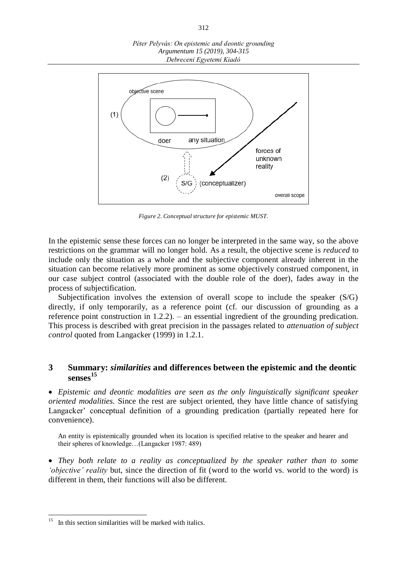*Péter Pelyvás: On epistemic and deontic grounding Argumentum 15 (2019), 304-315 Debreceni Egyetemi Kiadó*



*Figure 2. Conceptual structure for epistemic MUST.*

In the epistemic sense these forces can no longer be interpreted in the same way, so the above restrictions on the grammar will no longer hold. As a result, the objective scene is *reduced* to include only the situation as a whole and the subjective component already inherent in the situation can become relatively more prominent as some objectively construed component, in our case subject control (associated with the double role of the doer), fades away in the process of subjectification.

Subjectification involves the extension of overall scope to include the speaker (S/G) directly, if only temporarily, as a reference point (cf. our discussion of grounding as a reference point construction in 1.2.2). – an essential ingredient of the grounding predication. This process is described with great precision in the passages related to *attenuation of subject control* quoted from Langacker (1999) in 1.2.1.

# **3 Summary:** *similarities* **and differences between the epistemic and the deontic senses 15**

 *Epistemic and deontic modalities are seen as the only linguistically significant speaker oriented modalities.* Since the rest are subject oriented, they have little chance of satisfying Langacker' conceptual definition of a grounding predication (partially repeated here for convenience).

An entity is epistemically grounded when its location is specified relative to the speaker and hearer and their spheres of knowledge…(Langacker 1987: 489)

 *They both relate to a reality as conceptualized by the speaker rather than to some 'objective' reality* but, since the direction of fit (word to the world vs. world to the word) is different in them, their functions will also be different.

<sup>15</sup> In this section similarities will be marked with italics.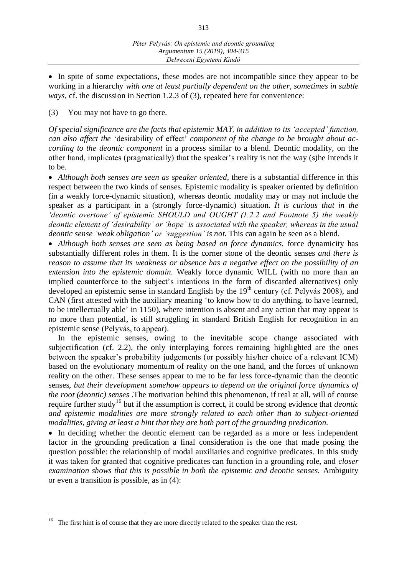• In spite of some expectations, these modes are not incompatible since they appear to be working in a hierarchy *with one at least partially dependent on the other, sometimes in subtle ways,* cf. the discussion in Section 1.2.3 of (3), repeated here for convenience:

(3) You may not have to go there.

*Of special significance are the facts that epistemic MAY, in addition to its 'accepted' function, can also affect the* 'desirability of effect' *component of the change to be brought about according to the deontic component* in a process similar to a blend. Deontic modality, on the other hand, implicates (pragmatically) that the speaker's reality is not the way (s)he intends it to be.

 *Although both senses are seen as speaker oriented,* there is a substantial difference in this respect between the two kinds of senses. Epistemic modality is speaker oriented by definition (in a weakly force-dynamic situation), whereas deontic modality may or may not include the speaker as a participant in a (strongly force-dynamic) situation. *It is curious that in the 'deontic overtone' of epistemic SHOULD and OUGHT (1.2.2 and Footnote 5) the weakly deontic element of 'desirability' or 'hope' is associated with the speaker, whereas in the usual deontic sense 'weak obligation' or 'suggestion' is not.* This can again be seen as a blend.

 *Although both senses are seen as being based on force dynamics,* force dynamicity has substantially different roles in them. It is the corner stone of the deontic senses *and there is reason to assume that its weakness or absence has a negative effect on the possibility of an extension into the epistemic domain.* Weakly force dynamic WILL (with no more than an implied counterforce to the subject's intentions in the form of discarded alternatives) only developed an epistemic sense in standard English by the  $19<sup>th</sup>$  century (cf. Pelyvás 2008), and CAN (first attested with the auxiliary meaning 'to know how to do anything, to have learned, to be intellectually able' in 1150), where intention is absent and any action that may appear is no more than potential, is still struggling in standard British English for recognition in an epistemic sense (Pelyvás, to appear).

In the epistemic senses, owing to the inevitable scope change associated with subjectification (cf. 2.2), the only interplaying forces remaining highlighted are the ones between the speaker's probability judgements (or possibly his/her choice of a relevant ICM) based on the evolutionary momentum of reality on the one hand, and the forces of unknown reality on the other. These senses appear to me to be far less force-dynamic than the deontic senses, *but their development somehow appears to depend on the original force dynamics of the root (deontic) senses .*The motivation behind this phenomenon, if real at all, will of course require further study<sup>16</sup> but if the assumption is correct, it could be strong evidence that *deontic and epistemic modalities are more strongly related to each other than to subject-oriented modalities, giving at least a hint that they are both part of the grounding predication.*

• In deciding whether the deontic element can be regarded as a more or less independent factor in the grounding predication a final consideration is the one that made posing the question possible: the relationship of modal auxiliaries and cognitive predicates. In this study it was taken for granted that cognitive predicates can function in a grounding role, and *closer examination shows that this is possible in both the epistemic and deontic senses.* Ambiguity or even a transition is possible, as in (4):

<sup>16</sup> The first hint is of course that they are more directly related to the speaker than the rest.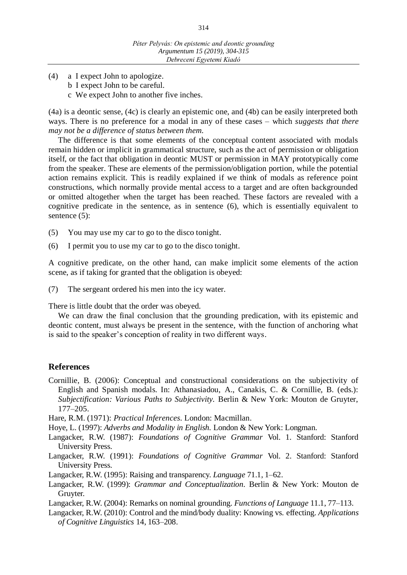- (4) a I expect John to apologize.
	- b I expect John to be careful.
	- c We expect John to another five inches.

(4a) is a deontic sense, (4c) is clearly an epistemic one, and (4b) can be easily interpreted both ways. There is no preference for a modal in any of these cases – which *suggests that there may not be a difference of status between them.*

The difference is that some elements of the conceptual content associated with modals remain hidden or implicit in grammatical structure, such as the act of permission or obligation itself, or the fact that obligation in deontic MUST or permission in MAY prototypically come from the speaker. These are elements of the permission/obligation portion, while the potential action remains explicit. This is readily explained if we think of modals as reference point constructions, which normally provide mental access to a target and are often backgrounded or omitted altogether when the target has been reached. These factors are revealed with a cognitive predicate in the sentence, as in sentence (6), which is essentially equivalent to sentence (5):

- (5) You may use my car to go to the disco tonight.
- (6) I permit you to use my car to go to the disco tonight.

A cognitive predicate, on the other hand, can make implicit some elements of the action scene, as if taking for granted that the obligation is obeyed:

(7) The sergeant ordered his men into the icy water.

There is little doubt that the order was obeyed.

We can draw the final conclusion that the grounding predication, with its epistemic and deontic content, must always be present in the sentence, with the function of anchoring what is said to the speaker's conception of reality in two different ways.

# **References**

Cornillie, B. (2006): Conceptual and constructional considerations on the subjectivity of English and Spanish modals. In: Athanasiadou, A., Canakis, C. & Cornillie, B. (eds.): *Subjectification: Various Paths to Subjectivity.* Berlin & New York: Mouton de Gruyter, 177–205.

Hare, R.M. (1971): *Practical Inferences.* London: Macmillan.

- Hoye, L. (1997): *Adverbs and Modality in English.* London & New York: Longman.
- Langacker, R.W. (1987): *Foundations of Cognitive Grammar* Vol. 1*.* Stanford: Stanford University Press.
- Langacker, R.W. (1991): *Foundations of Cognitive Grammar* Vol. 2. Stanford: Stanford University Press.
- Langacker, R.W. (1995): Raising and transparency. *Language* 71.1, 1–62.
- Langacker, R.W. (1999): *Grammar and Conceptualization.* Berlin & New York: Mouton de Gruyter.
- Langacker, R.W. (2004): Remarks on nominal grounding. *Functions of Language* 11.1, 77–113.
- Langacker, R.W. (2010): Control and the mind/body duality: Knowing vs. effecting. *[Applications](https://www.tib.eu/en/search/?tx_tibsearch_search%5Bquery%5D=journal%3A%28APPLICATIONS%20OF%20COGNITIVE%20LINGUISTICS%29)  [of Cognitive Linguistics](https://www.tib.eu/en/search/?tx_tibsearch_search%5Bquery%5D=journal%3A%28APPLICATIONS%20OF%20COGNITIVE%20LINGUISTICS%29)* 14, 163–208.